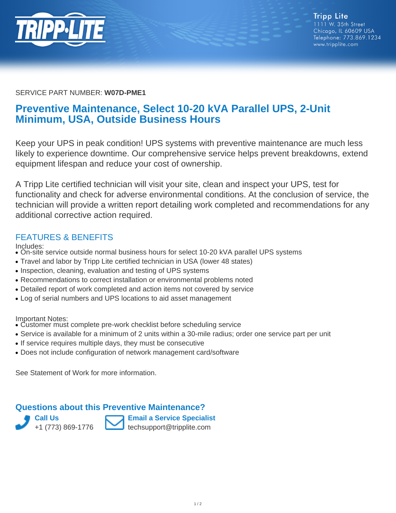

#### SERVICE PART NUMBER: **W07D-PME1**

# **Preventive Maintenance, Select 10-20 kVA Parallel UPS, 2-Unit Minimum, USA, Outside Business Hours**

Keep your UPS in peak condition! UPS systems with preventive maintenance are much less likely to experience downtime. Our comprehensive service helps prevent breakdowns, extend equipment lifespan and reduce your cost of ownership.

A Tripp Lite certified technician will visit your site, clean and inspect your UPS, test for functionality and check for adverse environmental conditions. At the conclusion of service, the technician will provide a written report detailing work completed and recommendations for any additional corrective action required.

## FEATURES & BENEFITS

Includes:

- On-site service outside normal business hours for select 10-20 kVA parallel UPS systems
- Travel and labor by Tripp Lite certified technician in USA (lower 48 states)
- Inspection, cleaning, evaluation and testing of UPS systems
- Recommendations to correct installation or environmental problems noted
- Detailed report of work completed and action items not covered by service
- Log of serial numbers and UPS locations to aid asset management

Important Notes:

- Customer must complete pre-work checklist before scheduling service
- Service is available for a minimum of 2 units within a 30-mile radius; order one service part per unit
- If service requires multiple days, they must be consecutive
- Does not include configuration of network management card/software

See Statement of Work for more information.

#### **Questions about this Preventive Maintenance?**

**Call Us** +1 (773) 869-1776



**Email a Service Specialist** techsupport@tripplite.com